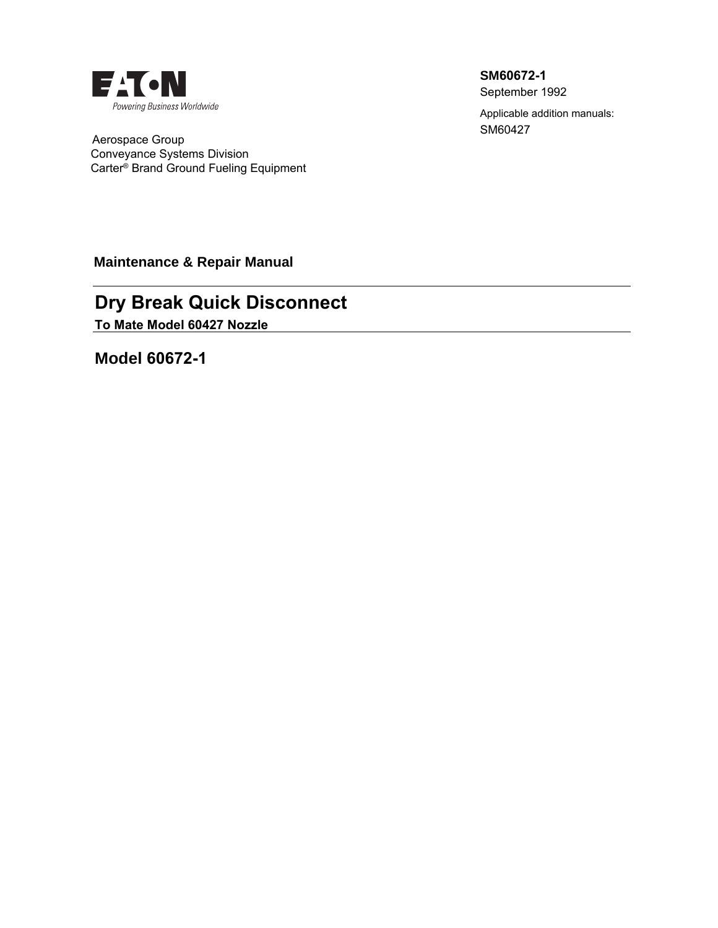

 Aerospace Group Conveyance Systems Division Carter® Brand Ground Fueling Equipment **SM60672-1**

September 1992

Applicable addition manuals: SM60427

**Maintenance & Repair Manual** 

# **Dry Break Quick Disconnect**

**To Mate Model 60427 Nozzle**

**Model 60672-1**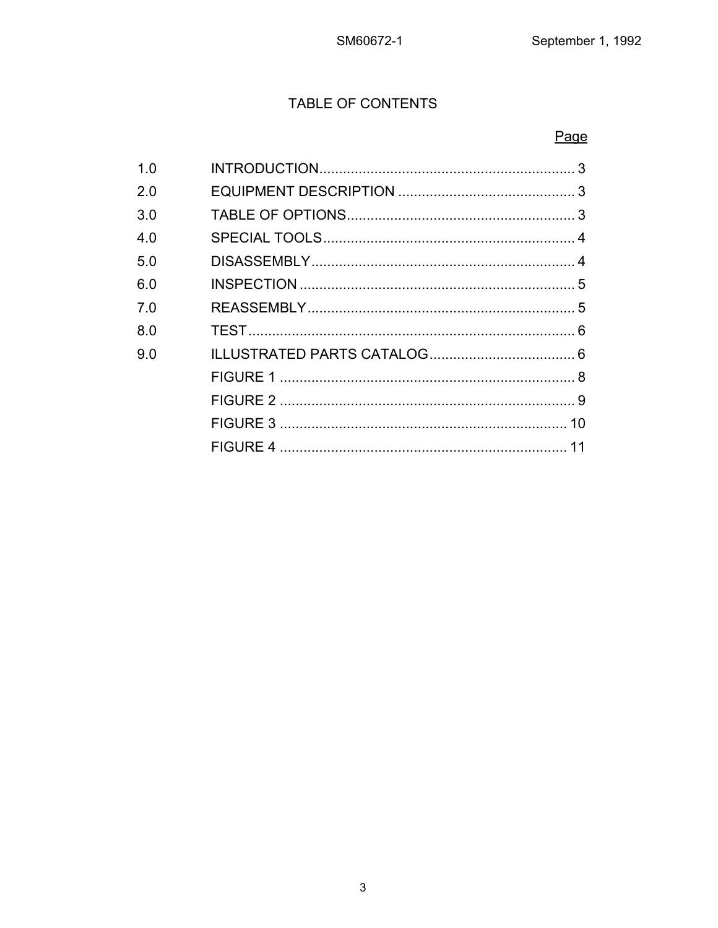Page

# **TABLE OF CONTENTS**

#### $1.0$  $2.0$  $3.0$  $4.0$  $5.0$  $6.0$  $7.0$  $8.0$ 9.0

3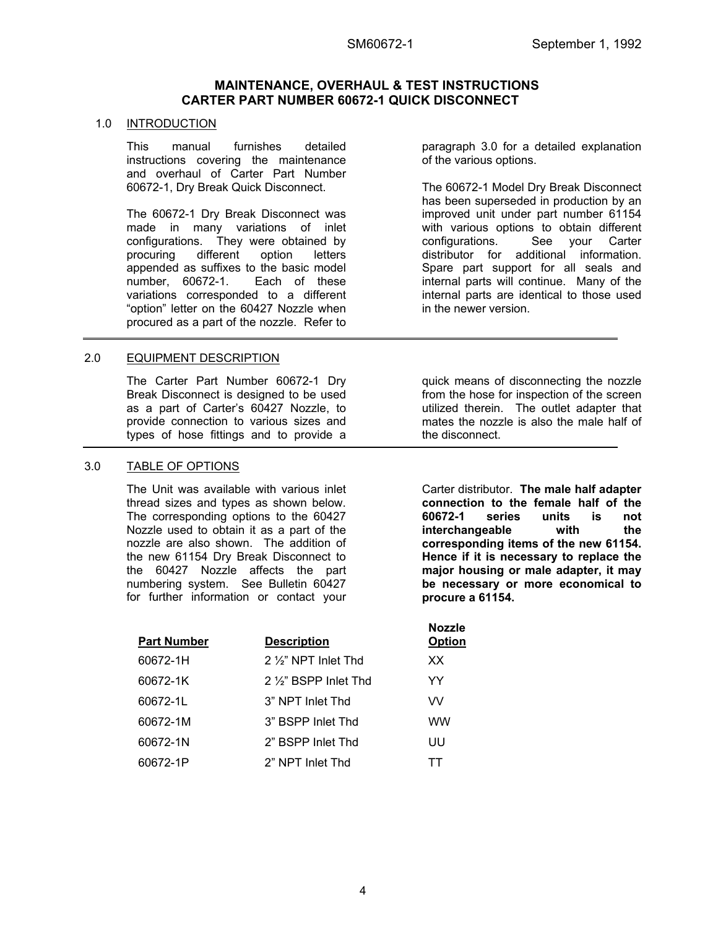### **MAINTENANCE, OVERHAUL & TEST INSTRUCTIONS CARTER PART NUMBER 60672-1 QUICK DISCONNECT**

#### 1.0 INTRODUCTION

This manual furnishes detailed instructions covering the maintenance and overhaul of Carter Part Number 60672-1, Dry Break Quick Disconnect.

The 60672-1 Dry Break Disconnect was made in many variations of inlet configurations. They were obtained by procuring different option letters appended as suffixes to the basic model number, 60672-1. Each of these variations corresponded to a different "option" letter on the 60427 Nozzle when procured as a part of the nozzle. Refer to

#### 2.0 EQUIPMENT DESCRIPTION

The Carter Part Number 60672-1 Dry Break Disconnect is designed to be used as a part of Carter's 60427 Nozzle, to provide connection to various sizes and types of hose fittings and to provide a

#### 3.0 TABLE OF OPTIONS

The Unit was available with various inlet thread sizes and types as shown below. The corresponding options to the 60427 Nozzle used to obtain it as a part of the nozzle are also shown. The addition of the new 61154 Dry Break Disconnect to the 60427 Nozzle affects the part numbering system. See Bulletin 60427 for further information or contact your

| <b>Part Number</b> | <b>Description</b>            | <b>Nozzle</b><br><b>Option</b> |
|--------------------|-------------------------------|--------------------------------|
| 60672-1H           | 2 $\frac{1}{2}$ NPT Inlet Thd | XX.                            |
| 60672-1K           | 2 1/2" BSPP Inlet Thd         | YY                             |
| 60672-1L           | 3" NPT Inlet Thd              | VV                             |
| 60672-1M           | 3" BSPP Inlet Thd             | ww                             |
| 60672-1N           | 2" BSPP Inlet Thd             | UU                             |
| 60672-1P           | 2" NPT Inlet Thd              | ТT                             |
|                    |                               |                                |

paragraph 3.0 for a detailed explanation of the various options.

The 60672-1 Model Dry Break Disconnect has been superseded in production by an improved unit under part number 61154 with various options to obtain different configurations. See your Carter distributor for additional information. Spare part support for all seals and internal parts will continue. Many of the internal parts are identical to those used in the newer version.

quick means of disconnecting the nozzle from the hose for inspection of the screen utilized therein. The outlet adapter that mates the nozzle is also the male half of the disconnect.

Carter distributor. **The male half adapter connection to the female half of the 60672-1 series units is not interchangeable with the corresponding items of the new 61154. Hence if it is necessary to replace the major housing or male adapter, it may be necessary or more economical to procure a 61154.**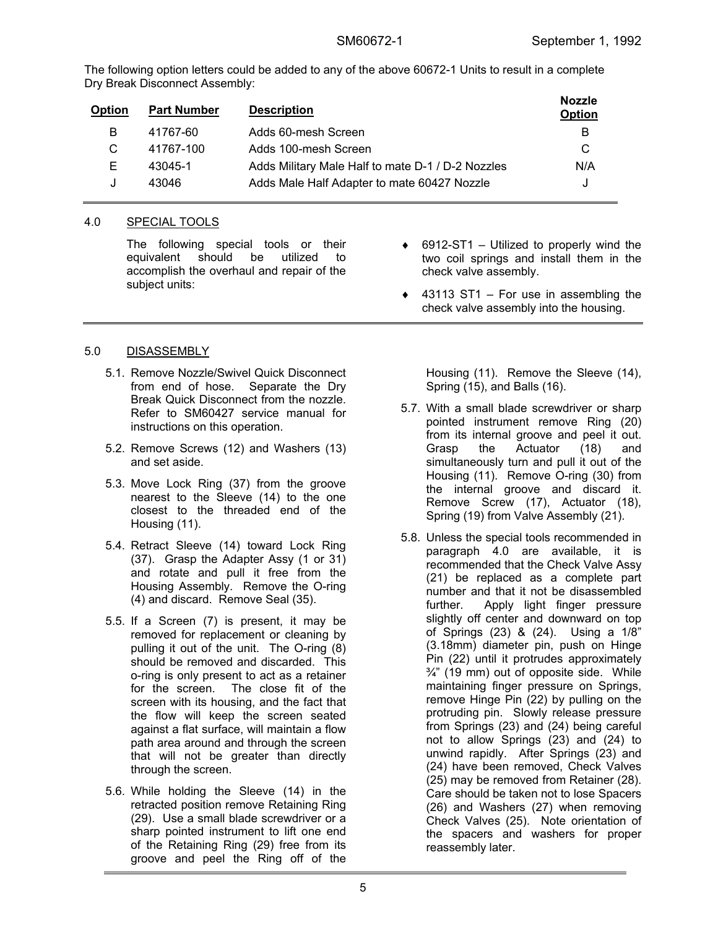The following option letters could be added to any of the above 60672-1 Units to result in a complete Dry Break Disconnect Assembly:

| <b>Part Number</b> | <b>Description</b>                                | <b>Nozzle</b><br>Option |
|--------------------|---------------------------------------------------|-------------------------|
| 41767-60           | Adds 60-mesh Screen                               | В                       |
| 41767-100          | Adds 100-mesh Screen                              | C                       |
| 43045-1            | Adds Military Male Half to mate D-1 / D-2 Nozzles | N/A                     |
| 43046              | Adds Male Half Adapter to mate 60427 Nozzle       | J                       |
|                    |                                                   |                         |

# 4.0 SPECIAL TOOLS

The following special tools or their equivalent should be utilized to accomplish the overhaul and repair of the subject units:

- $6912$ -ST1 Utilized to properly wind the two coil springs and install them in the check valve assembly.
- $\triangleleft$  43113 ST1 For use in assembling the check valve assembly into the housing.

# 5.0 DISASSEMBLY

- 5.1. Remove Nozzle/Swivel Quick Disconnect from end of hose. Separate the Dry Break Quick Disconnect from the nozzle. Refer to SM60427 service manual for instructions on this operation.
- 5.2. Remove Screws (12) and Washers (13) and set aside.
- 5.3. Move Lock Ring (37) from the groove nearest to the Sleeve (14) to the one closest to the threaded end of the Housing (11).
- 5.4. Retract Sleeve (14) toward Lock Ring (37). Grasp the Adapter Assy (1 or 31) and rotate and pull it free from the Housing Assembly. Remove the O-ring (4) and discard. Remove Seal (35).
- 5.5. If a Screen (7) is present, it may be removed for replacement or cleaning by pulling it out of the unit. The O-ring (8) should be removed and discarded. This o-ring is only present to act as a retainer for the screen. The close fit of the screen with its housing, and the fact that the flow will keep the screen seated against a flat surface, will maintain a flow path area around and through the screen that will not be greater than directly through the screen.
- 5.6. While holding the Sleeve (14) in the retracted position remove Retaining Ring (29). Use a small blade screwdriver or a sharp pointed instrument to lift one end of the Retaining Ring (29) free from its groove and peel the Ring off of the

Housing (11). Remove the Sleeve (14), Spring (15), and Balls (16).

- 5.7. With a small blade screwdriver or sharp pointed instrument remove Ring (20) from its internal groove and peel it out. Grasp the Actuator (18) and simultaneously turn and pull it out of the Housing (11). Remove O-ring (30) from the internal groove and discard it. Remove Screw (17), Actuator (18), Spring (19) from Valve Assembly (21).
- 5.8. Unless the special tools recommended in paragraph 4.0 are available, it is recommended that the Check Valve Assy (21) be replaced as a complete part number and that it not be disassembled further. Apply light finger pressure slightly off center and downward on top of Springs (23) & (24). Using a 1/8" (3.18mm) diameter pin, push on Hinge Pin (22) until it protrudes approximately  $\frac{3}{4}$ " (19 mm) out of opposite side. While maintaining finger pressure on Springs, remove Hinge Pin (22) by pulling on the protruding pin. Slowly release pressure from Springs (23) and (24) being careful not to allow Springs (23) and (24) to unwind rapidly. After Springs (23) and (24) have been removed, Check Valves (25) may be removed from Retainer (28). Care should be taken not to lose Spacers (26) and Washers (27) when removing Check Valves (25). Note orientation of the spacers and washers for proper reassembly later.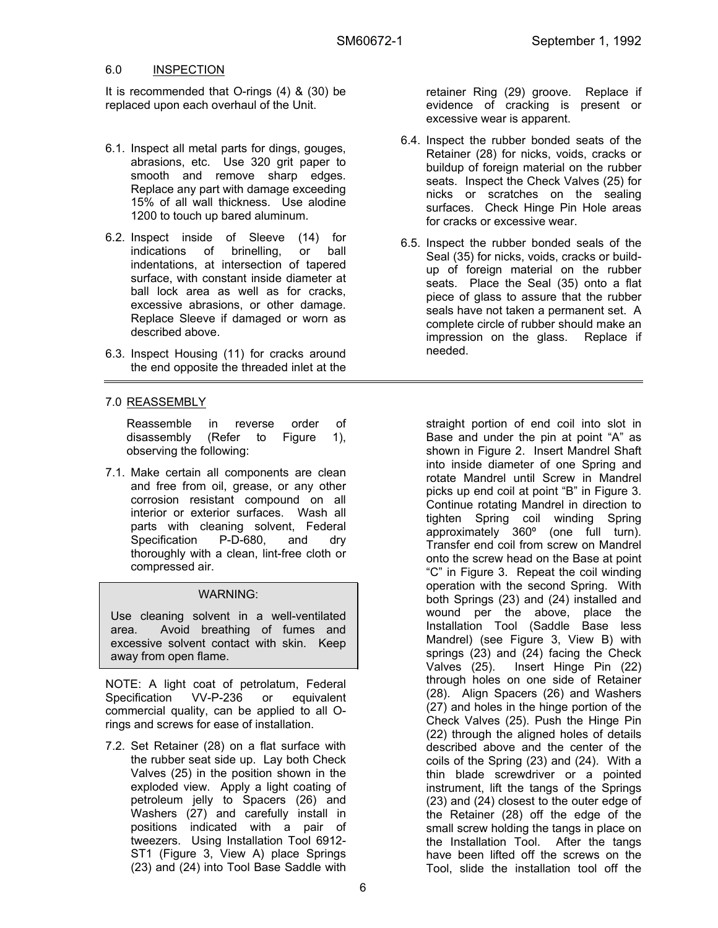#### 6.0 INSPECTION

It is recommended that O-rings (4) & (30) be replaced upon each overhaul of the Unit.

- 6.1. Inspect all metal parts for dings, gouges, abrasions, etc. Use 320 grit paper to smooth and remove sharp edges. Replace any part with damage exceeding 15% of all wall thickness. Use alodine 1200 to touch up bared aluminum.
- 6.2. Inspect inside of Sleeve (14) for indications of brinelling, or ball indentations, at intersection of tapered surface, with constant inside diameter at ball lock area as well as for cracks, excessive abrasions, or other damage. Replace Sleeve if damaged or worn as described above.
- 6.3. Inspect Housing (11) for cracks around the end opposite the threaded inlet at the

### 7.0 REASSEMBLY

Reassemble in reverse order of disassembly (Refer to Figure 1), observing the following:

7.1. Make certain all components are clean and free from oil, grease, or any other corrosion resistant compound on all interior or exterior surfaces. Wash all parts with cleaning solvent, Federal Specification P-D-680, and dry thoroughly with a clean, lint-free cloth or compressed air.

#### WARNING:

Use cleaning solvent in a well-ventilated area. Avoid breathing of fumes and excessive solvent contact with skin. Keep away from open flame.

NOTE: A light coat of petrolatum, Federal Specification VV-P-236 or equivalent commercial quality, can be applied to all Orings and screws for ease of installation.

7.2. Set Retainer (28) on a flat surface with the rubber seat side up. Lay both Check Valves (25) in the position shown in the exploded view. Apply a light coating of petroleum jelly to Spacers (26) and Washers (27) and carefully install in positions indicated with a pair of tweezers. Using Installation Tool 6912- ST1 (Figure 3, View A) place Springs (23) and (24) into Tool Base Saddle with retainer Ring (29) groove. Replace if evidence of cracking is present or excessive wear is apparent.

- 6.4. Inspect the rubber bonded seats of the Retainer (28) for nicks, voids, cracks or buildup of foreign material on the rubber seats. Inspect the Check Valves (25) for nicks or scratches on the sealing surfaces. Check Hinge Pin Hole areas for cracks or excessive wear.
- 6.5. Inspect the rubber bonded seals of the Seal (35) for nicks, voids, cracks or buildup of foreign material on the rubber seats. Place the Seal (35) onto a flat piece of glass to assure that the rubber seals have not taken a permanent set. A complete circle of rubber should make an impression on the glass. Replace if needed.

straight portion of end coil into slot in Base and under the pin at point "A" as shown in Figure 2. Insert Mandrel Shaft into inside diameter of one Spring and rotate Mandrel until Screw in Mandrel picks up end coil at point "B" in Figure 3. Continue rotating Mandrel in direction to tighten Spring coil winding Spring approximately 360º (one full turn). Transfer end coil from screw on Mandrel onto the screw head on the Base at point "C" in Figure 3. Repeat the coil winding operation with the second Spring. With both Springs (23) and (24) installed and wound per the above, place the Installation Tool (Saddle Base less Mandrel) (see Figure 3, View B) with springs (23) and (24) facing the Check Valves (25). Insert Hinge Pin (22) through holes on one side of Retainer (28). Align Spacers (26) and Washers (27) and holes in the hinge portion of the Check Valves (25). Push the Hinge Pin (22) through the aligned holes of details described above and the center of the coils of the Spring (23) and (24). With a thin blade screwdriver or a pointed instrument, lift the tangs of the Springs (23) and (24) closest to the outer edge of the Retainer (28) off the edge of the small screw holding the tangs in place on the Installation Tool. After the tangs have been lifted off the screws on the Tool, slide the installation tool off the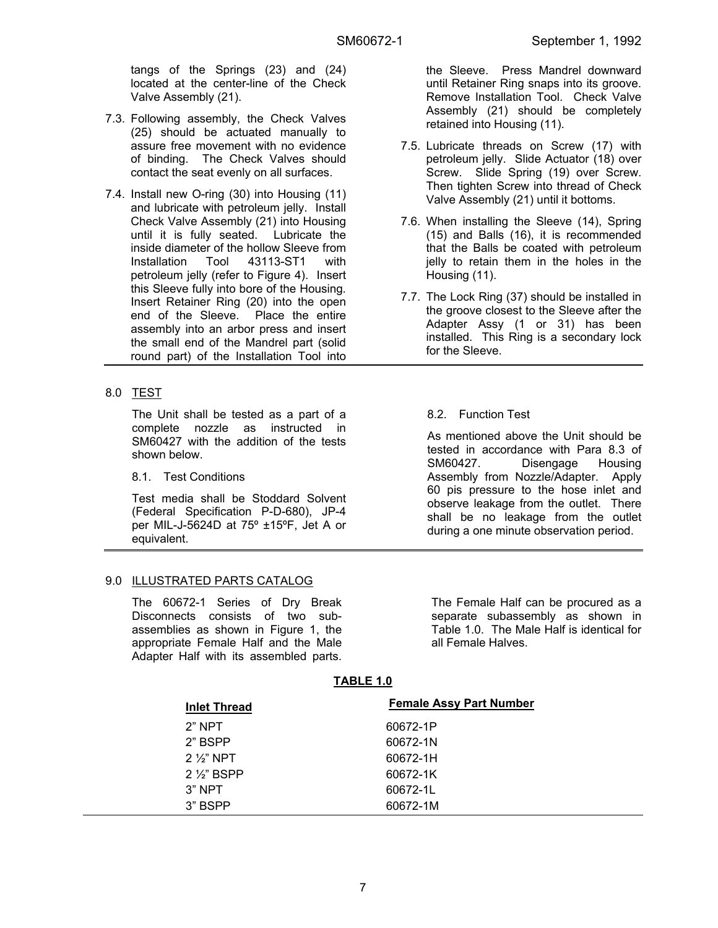tangs of the Springs (23) and (24) located at the center-line of the Check Valve Assembly (21).

- 7.3. Following assembly, the Check Valves (25) should be actuated manually to assure free movement with no evidence of binding. The Check Valves should contact the seat evenly on all surfaces.
- 7.4. Install new O-ring (30) into Housing (11) and lubricate with petroleum jelly. Install Check Valve Assembly (21) into Housing until it is fully seated. Lubricate the inside diameter of the hollow Sleeve from Installation Tool 43113-ST1 with petroleum jelly (refer to Figure 4). Insert this Sleeve fully into bore of the Housing. Insert Retainer Ring (20) into the open end of the Sleeve. Place the entire assembly into an arbor press and insert the small end of the Mandrel part (solid round part) of the Installation Tool into
- 8.0 TEST

The Unit shall be tested as a part of a complete nozzle as instructed in SM60427 with the addition of the tests shown below.

8.1. Test Conditions

Test media shall be Stoddard Solvent (Federal Specification P-D-680), JP-4 per MIL-J-5624D at 75º ±15ºF, Jet A or equivalent.

# 9.0 ILLUSTRATED PARTS CATALOG

The 60672-1 Series of Dry Break Disconnects consists of two subassemblies as shown in Figure 1, the appropriate Female Half and the Male Adapter Half with its assembled parts. the Sleeve. Press Mandrel downward until Retainer Ring snaps into its groove. Remove Installation Tool. Check Valve Assembly (21) should be completely retained into Housing (11).

- 7.5. Lubricate threads on Screw (17) with petroleum jelly. Slide Actuator (18) over Screw. Slide Spring (19) over Screw. Then tighten Screw into thread of Check Valve Assembly (21) until it bottoms.
- 7.6. When installing the Sleeve (14), Spring (15) and Balls (16), it is recommended that the Balls be coated with petroleum jelly to retain them in the holes in the Housing (11).
- 7.7. The Lock Ring (37) should be installed in the groove closest to the Sleeve after the Adapter Assy (1 or 31) has been installed. This Ring is a secondary lock for the Sleeve.

# 8.2. Function Test

As mentioned above the Unit should be tested in accordance with Para 8.3 of SM60427. Disengage Housing Assembly from Nozzle/Adapter. Apply 60 pis pressure to the hose inlet and observe leakage from the outlet. There shall be no leakage from the outlet during a one minute observation period.

The Female Half can be procured as a separate subassembly as shown in Table 1.0. The Male Half is identical for all Female Halves.

### **TABLE 1.0**

| <b>Inlet Thread</b> | <b>Female Assy Part Number</b> |
|---------------------|--------------------------------|
| $2"$ NPT            | 60672-1P                       |
| 2" BSPP             | 60672-1N                       |
| $2\frac{1}{3}$ NPT  | 60672-1H                       |
| $2\frac{1}{3}$ BSPP | 60672-1K                       |
| $3"$ NPT            | 60672-1L                       |
| 3" BSPP             | 60672-1M                       |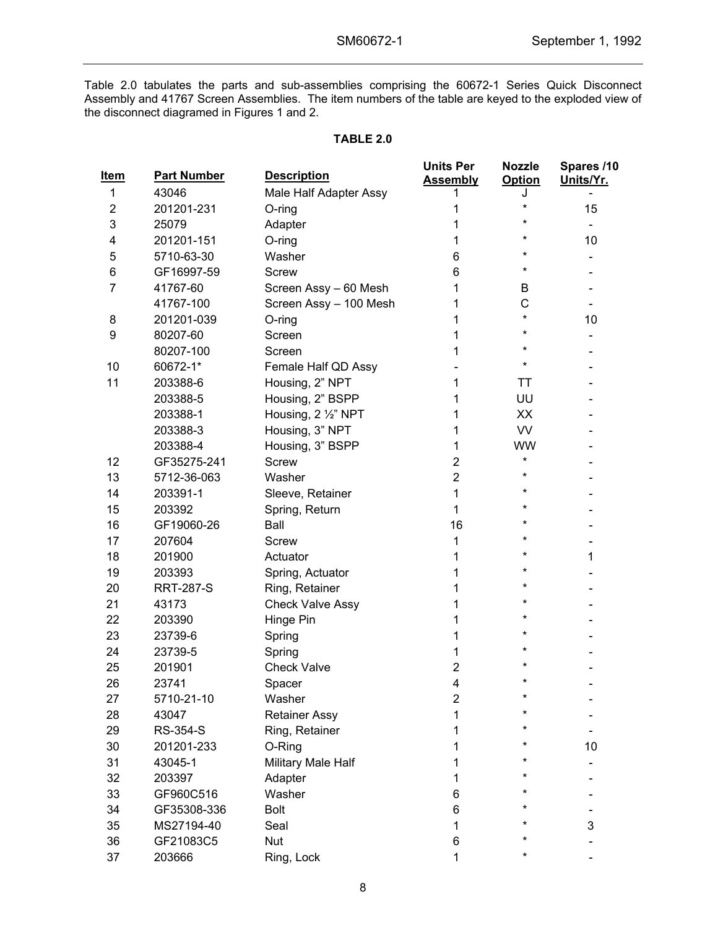Table 2.0 tabulates the parts and sub-assemblies comprising the 60672-1 Series Quick Disconnect Assembly and 41767 Screen Assemblies. The item numbers of the table are keyed to the exploded view of the disconnect diagramed in Figures 1 and 2.

#### **TABLE 2.0**

| <u>Item</u>    | <b>Part Number</b> | <b>Description</b>      | <b>Units Per</b><br><b>Assembly</b> | <b>Nozzle</b><br><b>Option</b> | Spares /10<br>Units/Yr. |
|----------------|--------------------|-------------------------|-------------------------------------|--------------------------------|-------------------------|
| 1              | 43046              | Male Half Adapter Assy  |                                     | J                              |                         |
| $\overline{2}$ | 201201-231         | O-ring                  | 1                                   | *                              | 15                      |
| 3              | 25079              | Adapter                 | 1                                   |                                |                         |
| 4              | 201201-151         | $O$ -ring               | 1                                   |                                | 10                      |
| 5              | 5710-63-30         | Washer                  | 6                                   |                                |                         |
| 6              | GF16997-59         | <b>Screw</b>            | 6                                   |                                |                         |
| $\overline{7}$ | 41767-60           | Screen Assy - 60 Mesh   | 1                                   | B                              |                         |
|                | 41767-100          | Screen Assy - 100 Mesh  | 1                                   | C                              | -                       |
| 8              | 201201-039         | O-ring                  | 1                                   | ¥                              | 10                      |
| 9              | 80207-60           | Screen                  | 1                                   |                                |                         |
|                | 80207-100          | Screen                  | 1                                   |                                |                         |
| 10             | 60672-1*           | Female Half QD Assy     |                                     |                                |                         |
| 11             | 203388-6           | Housing, 2" NPT         | 1                                   | ΤT                             |                         |
|                | 203388-5           | Housing, 2" BSPP        | 1                                   | UU                             |                         |
|                | 203388-1           | Housing, 2 1/2" NPT     | 1                                   | XX                             |                         |
|                | 203388-3           | Housing, 3" NPT         | 1                                   | <b>VV</b>                      |                         |
|                | 203388-4           | Housing, 3" BSPP        | 1                                   | <b>WW</b>                      |                         |
| 12             | GF35275-241        | <b>Screw</b>            | $\overline{2}$                      | $\star$                        |                         |
| 13             | 5712-36-063        | Washer                  | $\overline{2}$                      |                                |                         |
| 14             | 203391-1           | Sleeve, Retainer        | 1                                   |                                |                         |
| 15             | 203392             | Spring, Return          | 1                                   |                                |                         |
| 16             | GF19060-26         | Ball                    | 16                                  |                                |                         |
| 17             | 207604             | Screw                   | 1                                   |                                |                         |
| 18             | 201900             | Actuator                | 1                                   |                                | 1                       |
| 19             | 203393             | Spring, Actuator        | 1                                   |                                |                         |
| 20             | <b>RRT-287-S</b>   | Ring, Retainer          | 1                                   |                                |                         |
| 21             | 43173              | <b>Check Valve Assy</b> | 1                                   |                                |                         |
| 22             | 203390             | Hinge Pin               | 1                                   |                                |                         |
| 23             | 23739-6            | Spring                  | 1                                   |                                |                         |
| 24             | 23739-5            | Spring                  | 1                                   |                                |                         |
| 25             | 201901             | <b>Check Valve</b>      | $\overline{2}$                      |                                |                         |
| 26             | 23741              | Spacer                  | 4                                   | ¥                              |                         |
| 27             | 5710-21-10         | Washer                  | $\overline{2}$                      | $\star$                        |                         |
| 28             | 43047              | <b>Retainer Assy</b>    | 1                                   |                                |                         |
| 29             | <b>RS-354-S</b>    | Ring, Retainer          | 1                                   |                                |                         |
| 30             | 201201-233         | O-Ring                  | 1                                   |                                | 10                      |
| 31             | 43045-1            | Military Male Half      | 1                                   |                                |                         |
| 32             | 203397             | Adapter                 | 1                                   |                                |                         |
| 33             | GF960C516          | Washer                  | 6                                   |                                |                         |
| 34             | GF35308-336        | <b>Bolt</b>             | 6                                   |                                |                         |
| 35             | MS27194-40         | Seal                    | 1                                   |                                | 3                       |
| 36             | GF21083C5          | <b>Nut</b>              | 6                                   |                                |                         |
| 37             | 203666             | Ring, Lock              | 1                                   | *                              |                         |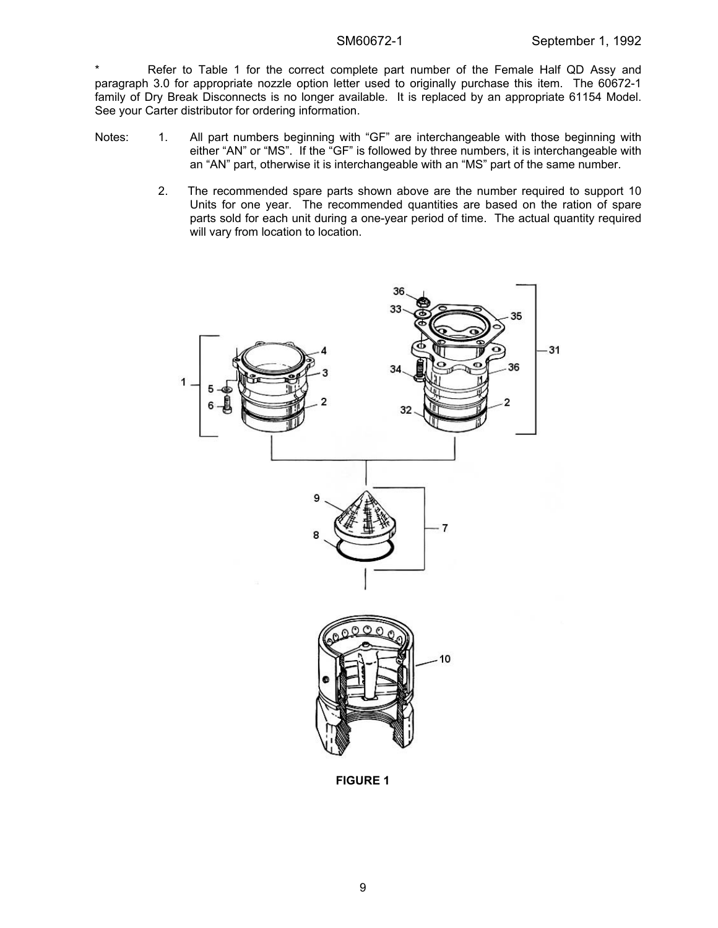Refer to Table 1 for the correct complete part number of the Female Half QD Assy and paragraph 3.0 for appropriate nozzle option letter used to originally purchase this item. The 60672-1 family of Dry Break Disconnects is no longer available. It is replaced by an appropriate 61154 Model. See your Carter distributor for ordering information.

- Notes: 1. All part numbers beginning with "GF" are interchangeable with those beginning with either "AN" or "MS". If the "GF" is followed by three numbers, it is interchangeable with an "AN" part, otherwise it is interchangeable with an "MS" part of the same number.
	- 2. The recommended spare parts shown above are the number required to support 10 Units for one year. The recommended quantities are based on the ration of spare parts sold for each unit during a one-year period of time. The actual quantity required will vary from location to location.



**FIGURE 1**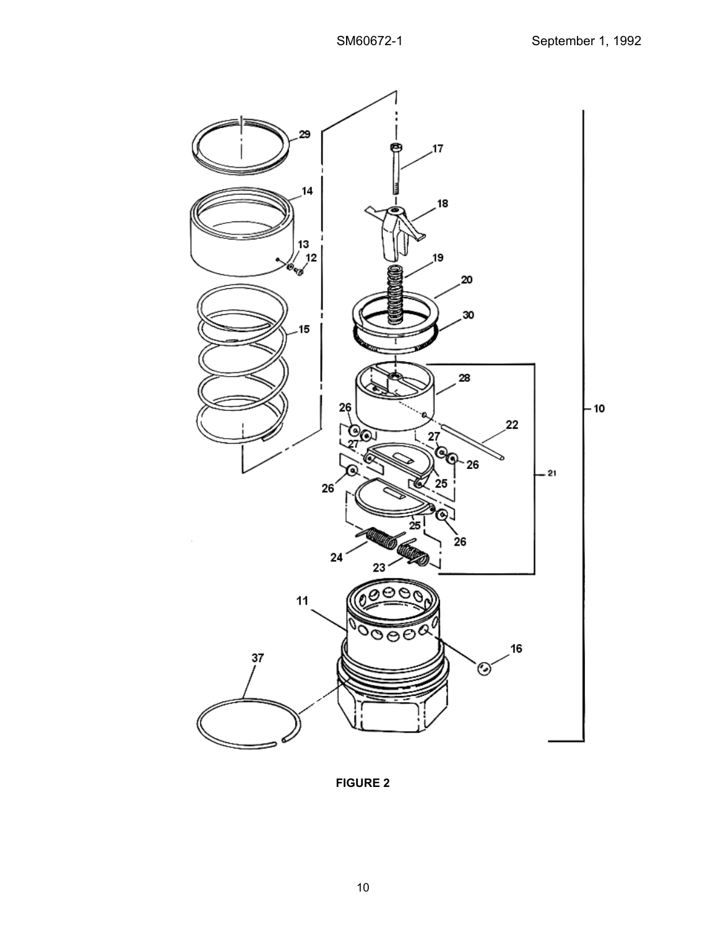

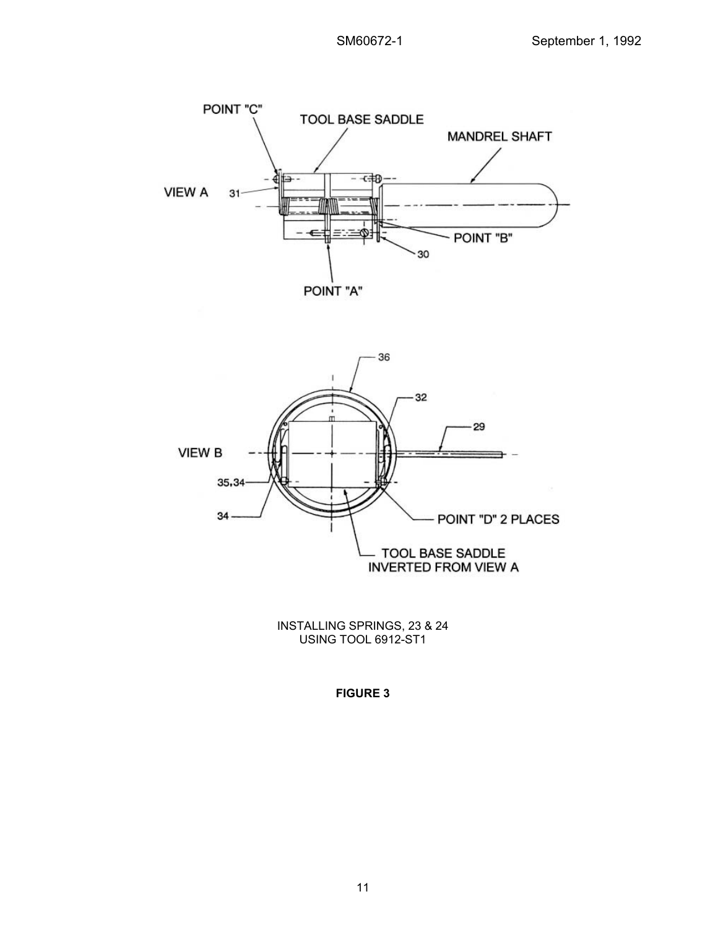



INSTALLING SPRINGS, 23 & 24 USING TOOL 6912-ST1

**FIGURE 3**